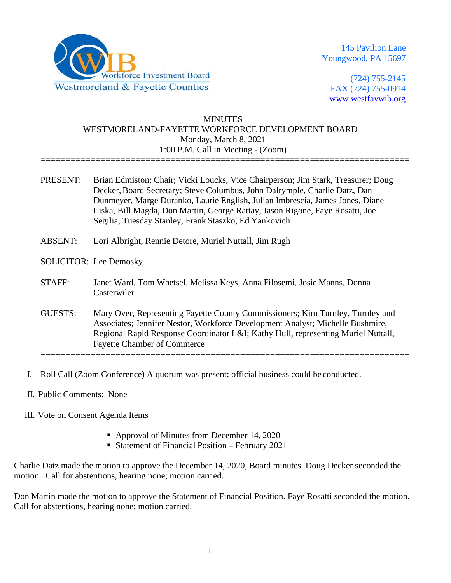

145 Pavilion Lane Youngwood, PA 15697

(724) 755-2145 FAX (724) 755-0914 [www.westfaywib.org](http://www.westfaywib.org/)

## **MINUTES** WESTMORELAND-FAYETTE WORKFORCE DEVELOPMENT BOARD Monday, March 8, 2021 1:00 P.M. Call in Meeting - (Zoom)

==========================================================================

- PRESENT: Brian Edmiston; Chair; Vicki Loucks, Vice Chairperson; Jim Stark, Treasurer; Doug Decker,Board Secretary; Steve Columbus, John Dalrymple, Charlie Datz, Dan Dunmeyer, Marge Duranko, Laurie English, Julian Imbrescia, James Jones, Diane Liska, Bill Magda, Don Martin, George Rattay, Jason Rigone, Faye Rosatti, Joe Segilia, Tuesday Stanley, Frank Staszko, Ed Yankovich
- ABSENT: Lori Albright, Rennie Detore, Muriel Nuttall, Jim Rugh
- SOLICITOR: Lee Demosky
- STAFF: Janet Ward, Tom Whetsel, Melissa Keys, Anna Filosemi, Josie Manns, Donna Casterwiler
- GUESTS: Mary Over, Representing Fayette County Commissioners; Kim Turnley, Turnley and Associates; Jennifer Nestor, Workforce Development Analyst; Michelle Bushmire, Regional Rapid Response Coordinator L&I; Kathy Hull, representing Muriel Nuttall, Fayette Chamber of Commerce ==========================================================================
- I. Roll Call (Zoom Conference) A quorum was present; official business could be conducted.
- II. Public Comments: None
- III. Vote on Consent Agenda Items
	- Approval of Minutes from December 14, 2020
	- **Statement of Financial Position February 2021**

Charlie Datz made the motion to approve the December 14, 2020, Board minutes. Doug Decker seconded the motion. Call for abstentions, hearing none; motion carried.

Don Martin made the motion to approve the Statement of Financial Position. Faye Rosatti seconded the motion. Call for abstentions, hearing none; motion carried.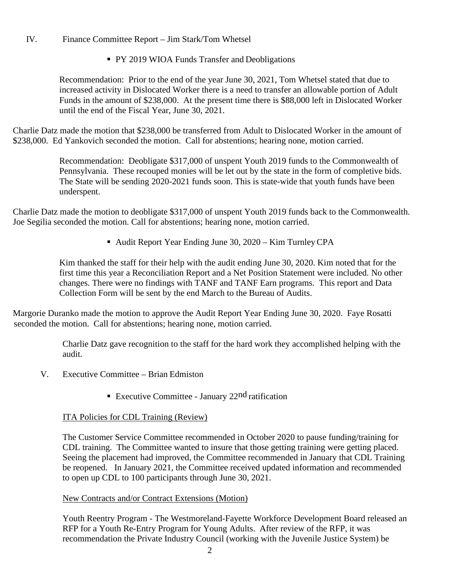# IV. Finance Committee Report – Jim Stark/Tom Whetsel

PY 2019 WIOA Funds Transfer and Deobligations

Recommendation: Prior to the end of the year June 30, 2021, Tom Whetsel stated that due to increased activity in Dislocated Worker there is a need to transfer an allowable portion of Adult Funds in the amount of \$238,000. At the present time there is \$88,000 left in Dislocated Worker until the end of the Fiscal Year, June 30, 2021.

Charlie Datz made the motion that \$238,000 be transferred from Adult to Dislocated Worker in the amount of \$238,000. Ed Yankovich seconded the motion. Call for abstentions; hearing none, motion carried.

> Recommendation: Deobligate \$317,000 of unspent Youth 2019 funds to the Commonwealth of Pennsylvania. These recouped monies will be let out by the state in the form of completive bids. The State will be sending 2020-2021 funds soon. This is state-wide that youth funds have been underspent.

Charlie Datz made the motion to deobligate \$317,000 of unspent Youth 2019 funds back to the Commonwealth. Joe Segilia seconded the motion. Call for abstentions; hearing none, motion carried.

■ Audit Report Year Ending June 30, 2020 – Kim Turnley CPA

Kim thanked the staff for their help with the audit ending June 30, 2020. Kim noted that for the first time this year a Reconciliation Report and a Net Position Statement were included. No other changes. There were no findings with TANF and TANF Earn programs. This report and Data Collection Form will be sent by the end March to the Bureau of Audits.

Margorie Duranko made the motion to approve the Audit Report Year Ending June 30, 2020. Faye Rosatti seconded the motion. Call for abstentions; hearing none, motion carried.

> Charlie Datz gave recognition to the staff for the hard work they accomplished helping with the audit.

- V. Executive Committee Brian Edmiston
	- Executive Committee January 22<sup>nd</sup> ratification

### ITA Policies for CDL Training (Review)

The Customer Service Committee recommended in October 2020 to pause funding/training for CDL training. The Committee wanted to insure that those getting training were getting placed. Seeing the placement had improved, the Committee recommended in January that CDL Training be reopened. In January 2021, the Committee received updated information and recommended to open up CDL to 100 participants through June 30, 2021.

#### New Contracts and/or Contract Extensions (Motion)

Youth Reentry Program - The Westmoreland-Fayette Workforce Development Board released an RFP for a Youth Re-Entry Program for Young Adults. After review of the RFP, it was recommendation the Private Industry Council (working with the Juvenile Justice System) be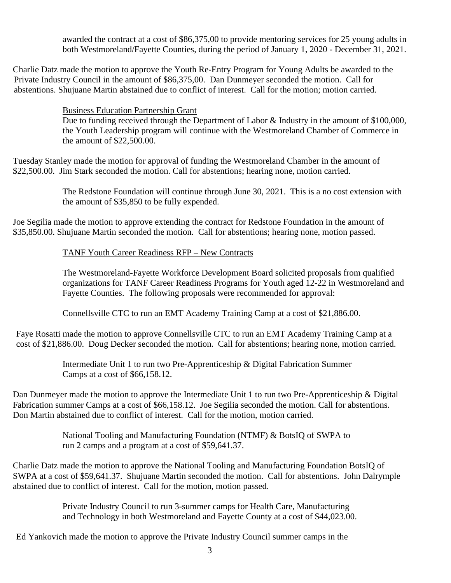awarded the contract at a cost of \$86,375,00 to provide mentoring services for 25 young adults in both Westmoreland/Fayette Counties, during the period of January 1, 2020 - December 31, 2021.

Charlie Datz made the motion to approve the Youth Re-Entry Program for Young Adults be awarded to the Private Industry Council in the amount of \$86,375,00. Dan Dunmeyer seconded the motion. Call for abstentions. Shujuane Martin abstained due to conflict of interest. Call for the motion; motion carried.

Business Education Partnership Grant

Due to funding received through the Department of Labor & Industry in the amount of \$100,000, the Youth Leadership program will continue with the Westmoreland Chamber of Commerce in the amount of \$22,500.00.

Tuesday Stanley made the motion for approval of funding the Westmoreland Chamber in the amount of \$22,500.00. Jim Stark seconded the motion. Call for abstentions; hearing none, motion carried.

> The Redstone Foundation will continue through June 30, 2021. This is a no cost extension with the amount of \$35,850 to be fully expended.

Joe Segilia made the motion to approve extending the contract for Redstone Foundation in the amount of \$35,850.00. Shujuane Martin seconded the motion. Call for abstentions; hearing none, motion passed.

### TANF Youth Career Readiness RFP – New Contracts

The Westmoreland-Fayette Workforce Development Board solicited proposals from qualified organizations for TANF Career Readiness Programs for Youth aged 12-22 in Westmoreland and Fayette Counties. The following proposals were recommended for approval:

Connellsville CTC to run an EMT Academy Training Camp at a cost of \$21,886.00.

Faye Rosatti made the motion to approve Connellsville CTC to run an EMT Academy Training Camp at a cost of \$21,886.00. Doug Decker seconded the motion. Call for abstentions; hearing none, motion carried.

> Intermediate Unit 1 to run two Pre-Apprenticeship & Digital Fabrication Summer Camps at a cost of \$66,158.12.

Dan Dunmeyer made the motion to approve the Intermediate Unit 1 to run two Pre-Apprenticeship & Digital Fabrication summer Camps at a cost of \$66,158.12. Joe Segilia seconded the motion. Call for abstentions. Don Martin abstained due to conflict of interest. Call for the motion, motion carried.

> National Tooling and Manufacturing Foundation (NTMF) & BotsIQ of SWPA to run 2 camps and a program at a cost of \$59,641.37.

Charlie Datz made the motion to approve the National Tooling and Manufacturing Foundation BotsIQ of SWPA at a cost of \$59,641.37. Shujuane Martin seconded the motion. Call for abstentions. John Dalrymple abstained due to conflict of interest. Call for the motion, motion passed.

> Private Industry Council to run 3-summer camps for Health Care, Manufacturing and Technology in both Westmoreland and Fayette County at a cost of \$44,023.00.

Ed Yankovich made the motion to approve the Private Industry Council summer camps in the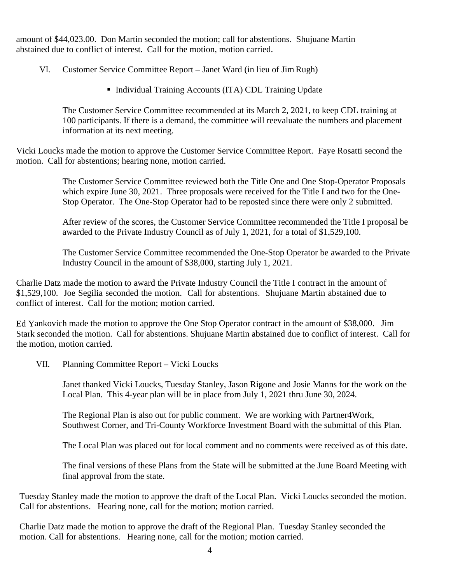amount of \$44,023.00. Don Martin seconded the motion; call for abstentions. Shujuane Martin abstained due to conflict of interest. Call for the motion, motion carried.

VI. Customer Service Committee Report – Janet Ward (in lieu of Jim Rugh)

■ Individual Training Accounts (ITA) CDL Training Update

The Customer Service Committee recommended at its March 2, 2021, to keep CDL training at 100 participants. If there is a demand, the committee will reevaluate the numbers and placement information at its next meeting.

Vicki Loucks made the motion to approve the Customer Service Committee Report. Faye Rosatti second the motion. Call for abstentions; hearing none, motion carried.

> The Customer Service Committee reviewed both the Title One and One Stop-Operator Proposals which expire June 30, 2021. Three proposals were received for the Title I and two for the One-Stop Operator. The One-Stop Operator had to be reposted since there were only 2 submitted.

> After review of the scores, the Customer Service Committee recommended the Title I proposal be awarded to the Private Industry Council as of July 1, 2021, for a total of \$1,529,100.

> The Customer Service Committee recommended the One-Stop Operator be awarded to the Private Industry Council in the amount of \$38,000, starting July 1, 2021.

Charlie Datz made the motion to award the Private Industry Council the Title I contract in the amount of \$1,529,100. Joe Segilia seconded the motion. Call for abstentions. Shujuane Martin abstained due to conflict of interest. Call for the motion; motion carried.

Ed Yankovich made the motion to approve the One Stop Operator contract in the amount of \$38,000. Jim Stark seconded the motion. Call for abstentions. Shujuane Martin abstained due to conflict of interest. Call for the motion, motion carried.

VII. Planning Committee Report – Vicki Loucks

Janet thanked Vicki Loucks, Tuesday Stanley, Jason Rigone and Josie Manns for the work on the Local Plan. This 4-year plan will be in place from July 1, 2021 thru June 30, 2024.

The Regional Plan is also out for public comment. We are working with Partner4Work, Southwest Corner, and Tri-County Workforce Investment Board with the submittal of this Plan.

The Local Plan was placed out for local comment and no comments were received as of this date.

The final versions of these Plans from the State will be submitted at the June Board Meeting with final approval from the state.

Tuesday Stanley made the motion to approve the draft of the Local Plan. Vicki Loucks seconded the motion. Call for abstentions. Hearing none, call for the motion; motion carried.

Charlie Datz made the motion to approve the draft of the Regional Plan. Tuesday Stanley seconded the motion. Call for abstentions. Hearing none, call for the motion; motion carried.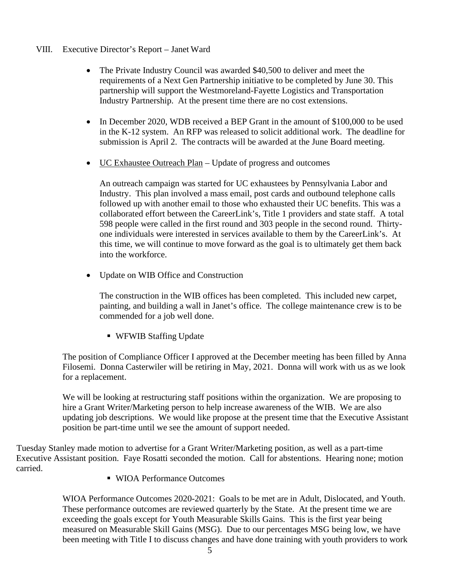- VIII. Executive Director's Report Janet Ward
	- The Private Industry Council was awarded \$40,500 to deliver and meet the requirements of a Next Gen Partnership initiative to be completed by June 30. This partnership will support the Westmoreland-Fayette Logistics and Transportation Industry Partnership. At the present time there are no cost extensions.
	- In December 2020, WDB received a BEP Grant in the amount of \$100,000 to be used in the K-12 system. An RFP was released to solicit additional work. The deadline for submission is April 2. The contracts will be awarded at the June Board meeting.
	- UC Exhaustee Outreach Plan Update of progress and outcomes

An outreach campaign was started for UC exhaustees by Pennsylvania Labor and Industry. This plan involved a mass email, post cards and outbound telephone calls followed up with another email to those who exhausted their UC benefits. This was a collaborated effort between the CareerLink's, Title 1 providers and state staff. A total 598 people were called in the first round and 303 people in the second round. Thirtyone individuals were interested in services available to them by the CareerLink's. At this time, we will continue to move forward as the goal is to ultimately get them back into the workforce.

• Update on WIB Office and Construction

The construction in the WIB offices has been completed. This included new carpet, painting, and building a wall in Janet's office. The college maintenance crew is to be commended for a job well done.

■ WFWIB Staffing Update

The position of Compliance Officer I approved at the December meeting has been filled by Anna Filosemi. Donna Casterwiler will be retiring in May, 2021. Donna will work with us as we look for a replacement.

We will be looking at restructuring staff positions within the organization. We are proposing to hire a Grant Writer/Marketing person to help increase awareness of the WIB. We are also updating job descriptions. We would like propose at the present time that the Executive Assistant position be part-time until we see the amount of support needed.

Tuesday Stanley made motion to advertise for a Grant Writer/Marketing position, as well as a part-time Executive Assistant position. Faye Rosatti seconded the motion. Call for abstentions. Hearing none; motion carried.

■ WIOA Performance Outcomes

WIOA Performance Outcomes 2020-2021: Goals to be met are in Adult, Dislocated, and Youth. These performance outcomes are reviewed quarterly by the State. At the present time we are exceeding the goals except for Youth Measurable Skills Gains. This is the first year being measured on Measurable Skill Gains (MSG). Due to our percentages MSG being low, we have been meeting with Title I to discuss changes and have done training with youth providers to work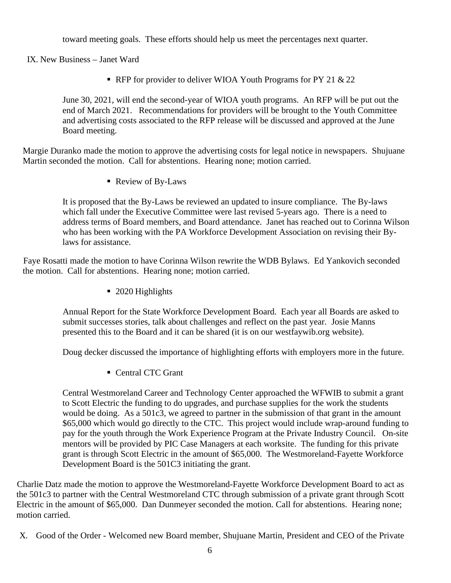toward meeting goals. These efforts should help us meet the percentages next quarter.

IX. New Business – Janet Ward

RFP for provider to deliver WIOA Youth Programs for PY 21  $& 22$ 

June 30, 2021, will end the second-year of WIOA youth programs. An RFP will be put out the end of March 2021. Recommendations for providers will be brought to the Youth Committee and advertising costs associated to the RFP release will be discussed and approved at the June Board meeting.

Margie Duranko made the motion to approve the advertising costs for legal notice in newspapers. Shujuane Martin seconded the motion. Call for abstentions. Hearing none; motion carried.

Review of By-Laws

It is proposed that the By-Laws be reviewed an updated to insure compliance. The By-laws which fall under the Executive Committee were last revised 5-years ago. There is a need to address terms of Board members, and Board attendance. Janet has reached out to Corinna Wilson who has been working with the PA Workforce Development Association on revising their Bylaws for assistance.

Faye Rosatti made the motion to have Corinna Wilson rewrite the WDB Bylaws. Ed Yankovich seconded the motion. Call for abstentions. Hearing none; motion carried.

■ 2020 Highlights

Annual Report for the State Workforce Development Board. Each year all Boards are asked to submit successes stories, talk about challenges and reflect on the past year. Josie Manns presented this to the Board and it can be shared (it is on our westfaywib.org website).

Doug decker discussed the importance of highlighting efforts with employers more in the future.

Central CTC Grant

Central Westmoreland Career and Technology Center approached the WFWIB to submit a grant to Scott Electric the funding to do upgrades, and purchase supplies for the work the students would be doing. As a 501c3, we agreed to partner in the submission of that grant in the amount \$65,000 which would go directly to the CTC. This project would include wrap-around funding to pay for the youth through the Work Experience Program at the Private Industry Council. On-site mentors will be provided by PIC Case Managers at each worksite. The funding for this private grant is through Scott Electric in the amount of \$65,000. The Westmoreland-Fayette Workforce Development Board is the 501C3 initiating the grant.

Charlie Datz made the motion to approve the Westmoreland-Fayette Workforce Development Board to act as the 501c3 to partner with the Central Westmoreland CTC through submission of a private grant through Scott Electric in the amount of \$65,000. Dan Dunmeyer seconded the motion. Call for abstentions. Hearing none; motion carried.

X. Good of the Order - Welcomed new Board member, Shujuane Martin, President and CEO of the Private